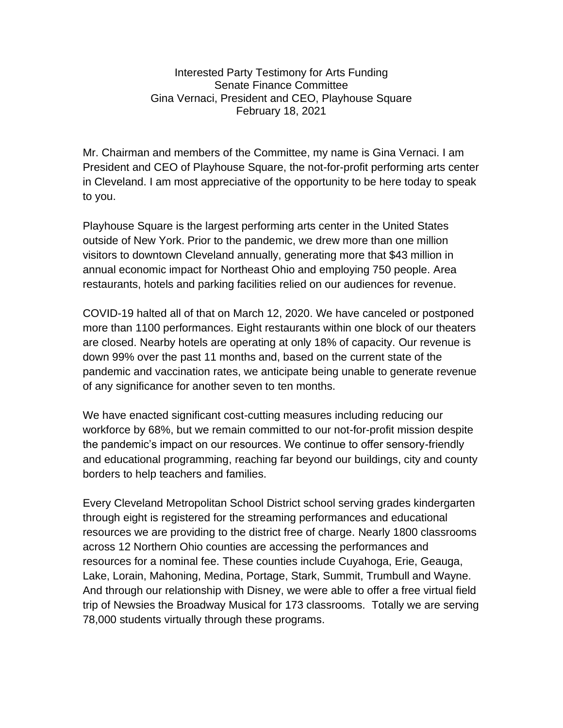Interested Party Testimony for Arts Funding Senate Finance Committee Gina Vernaci, President and CEO, Playhouse Square February 18, 2021

Mr. Chairman and members of the Committee, my name is Gina Vernaci. I am President and CEO of Playhouse Square, the not-for-profit performing arts center in Cleveland. I am most appreciative of the opportunity to be here today to speak to you.

Playhouse Square is the largest performing arts center in the United States outside of New York. Prior to the pandemic, we drew more than one million visitors to downtown Cleveland annually, generating more that \$43 million in annual economic impact for Northeast Ohio and employing 750 people. Area restaurants, hotels and parking facilities relied on our audiences for revenue.

COVID-19 halted all of that on March 12, 2020. We have canceled or postponed more than 1100 performances. Eight restaurants within one block of our theaters are closed. Nearby hotels are operating at only 18% of capacity. Our revenue is down 99% over the past 11 months and, based on the current state of the pandemic and vaccination rates, we anticipate being unable to generate revenue of any significance for another seven to ten months.

We have enacted significant cost-cutting measures including reducing our workforce by 68%, but we remain committed to our not-for-profit mission despite the pandemic's impact on our resources. We continue to offer sensory-friendly and educational programming, reaching far beyond our buildings, city and county borders to help teachers and families.

Every Cleveland Metropolitan School District school serving grades kindergarten through eight is registered for the streaming performances and educational resources we are providing to the district free of charge. Nearly 1800 classrooms across 12 Northern Ohio counties are accessing the performances and resources for a nominal fee. These counties include Cuyahoga, Erie, Geauga, Lake, Lorain, Mahoning, Medina, Portage, Stark, Summit, Trumbull and Wayne. And through our relationship with Disney, we were able to offer a free virtual field trip of Newsies the Broadway Musical for 173 classrooms. Totally we are serving 78,000 students virtually through these programs.